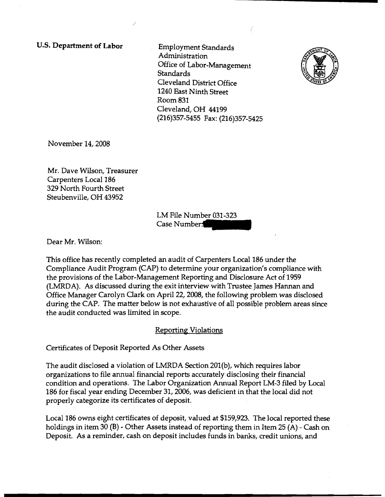u.s. **Department of Labor** 

Employment Standards Administration Office of Labor-Management **Standards** Cleveland District Office 1240 East Ninth Street Room 831 Cleveland, OH 44199 (216)357-5455 Fax: (216)357-5425



Novernber14,2008

Mr. Dave Wilson, Treasurer Carpenters Local 186 329 North Fourth Street Steubenville, OH 43952

> LM File Number 031-323 Case Number.

Dear Mr. Wilson:

This office has recently completed an audit of Carpenters Local 186 under the Compliance Audit Program (CAP) to determine your organization's compliance with the provisions of the Labor-Management Reporting and Disclosure Act of 1959 (LMRDA). As discussed during the exit interview with Trustee James Hannan and Office Manager Carolyn Clark on April 22, 2008, the following problem was disclosed during the CAP. The matter below is not exhaustive of all possible problem areas since the audit conducted was limited in scope.

## Reporting Violations

Certificates of Deposit Reported As Other Assets

The audit disclosed a violation of LMRDA Section 201(b), which requires labor organizations to file annual financial reports accurately disclosing their financial condition and operations. The Labor Organization Annual Report LM-3 filed by Local 186 for fiscal year ending December 31, 2006, was deficient in that the local did not properly categorize its certificates of deposit.

Local 186 owns eight certificates of deposit, valued at \$159,923. The local reported these holdings in item 30 (B) - Other Assets instead of reporting them in Item 25 (A) - Cash on Deposit. As a reminder, cash on deposit includes funds in banks, credit unions, and